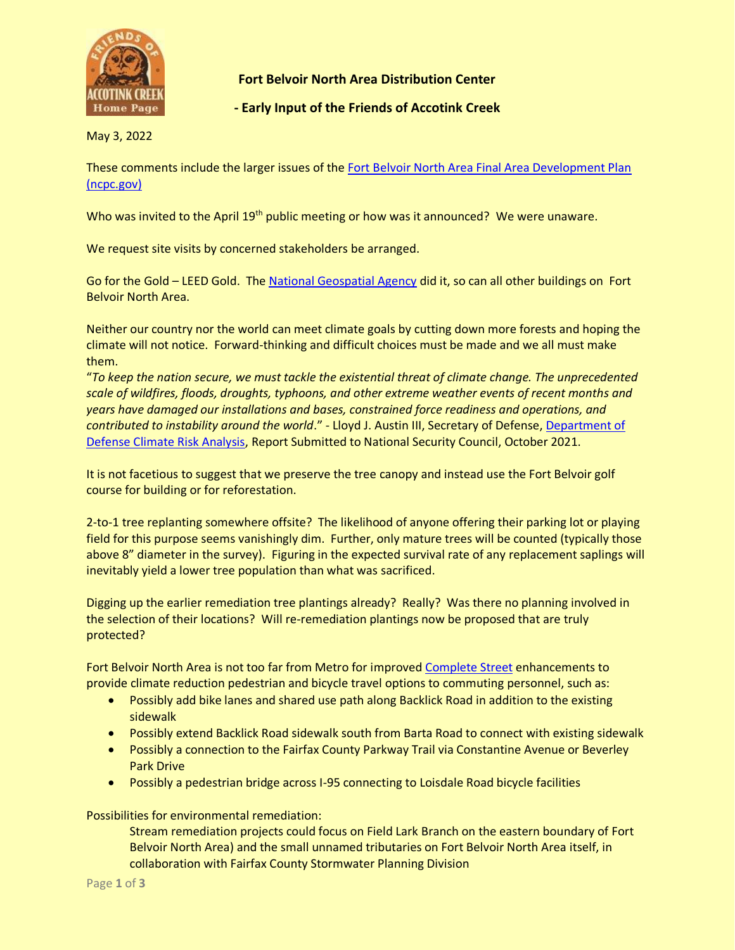

**Fort Belvoir North Area Distribution Center** 

**- Early Input of the Friends of Accotink Creek**

May 3, 2022

These comments include the larger issues of the [Fort Belvoir North Area Final Area Development Plan](https://www.ncpc.gov/docs/actions/2022March/MP020A_Fort_Belvoir_North_Area_Final_Area_Development_Plan_Staff_Report_Mar2022.pdf)  [\(ncpc.gov\)](https://www.ncpc.gov/docs/actions/2022March/MP020A_Fort_Belvoir_North_Area_Final_Area_Development_Plan_Staff_Report_Mar2022.pdf)

Who was invited to the April 19<sup>th</sup> public meeting or how was it announced? We were unaware.

We request site visits by concerned stakeholders be arranged.

Go for the Gold – LEED Gold. The [National Geospatial Agency](https://architizer.com/projects/national-geospatial-intelligence-agency-new-campus-east-nga/) did it, so can all other buildings on Fort Belvoir North Area.

Neither our country nor the world can meet climate goals by cutting down more forests and hoping the climate will not notice. Forward-thinking and difficult choices must be made and we all must make them.

"*To keep the nation secure, we must tackle the existential threat of climate change. The unprecedented scale of wildfires, floods, droughts, typhoons, and other extreme weather events of recent months and years have damaged our installations and bases, constrained force readiness and operations, and contributed to instability around the world*." - Lloyd J. Austin III, Secretary of Defense[, Department of](https://media.defense.gov/2021/Oct/21/2002877353/-1/-1/0/DOD-CLIMATE-RISK-ANALYSIS-FINAL.PDF#page=4)  [Defense Climate Risk Analysis,](https://media.defense.gov/2021/Oct/21/2002877353/-1/-1/0/DOD-CLIMATE-RISK-ANALYSIS-FINAL.PDF#page=4) Report Submitted to National Security Council, October 2021.

It is not facetious to suggest that we preserve the tree canopy and instead use the Fort Belvoir golf course for building or for reforestation.

2-to-1 tree replanting somewhere offsite? The likelihood of anyone offering their parking lot or playing field for this purpose seems vanishingly dim. Further, only mature trees will be counted (typically those above 8" diameter in the survey). Figuring in the expected survival rate of any replacement saplings will inevitably yield a lower tree population than what was sacrificed.

Digging up the earlier remediation tree plantings already? Really? Was there no planning involved in the selection of their locations? Will re-remediation plantings now be proposed that are truly protected?

Fort Belvoir North Area is not too far from Metro for improved [Complete Street](https://activefairfax.weebly.com/) enhancements to provide climate reduction pedestrian and bicycle travel options to commuting personnel, such as:

- Possibly add bike lanes and shared use path along Backlick Road in addition to the existing sidewalk
- Possibly extend Backlick Road sidewalk south from Barta Road to connect with existing sidewalk
- Possibly a connection to the Fairfax County Parkway Trail via Constantine Avenue or Beverley Park Drive
- Possibly a pedestrian bridge across I-95 connecting to Loisdale Road bicycle facilities

Possibilities for environmental remediation:

Stream remediation projects could focus on Field Lark Branch on the eastern boundary of Fort Belvoir North Area) and the small unnamed tributaries on Fort Belvoir North Area itself, in collaboration with Fairfax County Stormwater Planning Division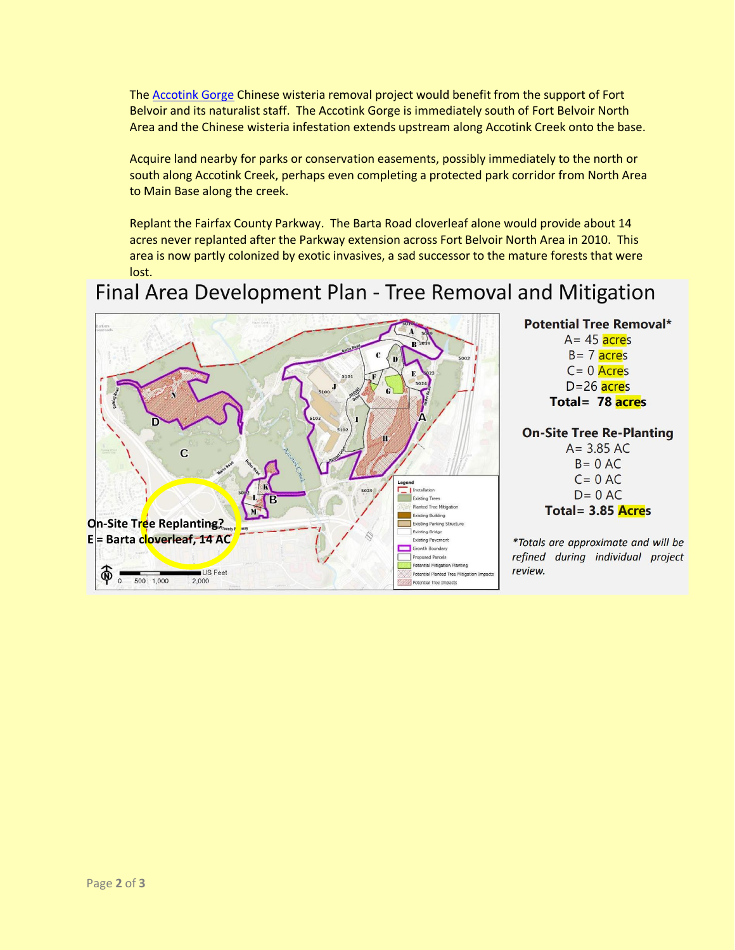The [Accotink Gorge](https://www.accotink.org/2015/AccotinkGorge2015.htm) Chinese wisteria removal project would benefit from the support of Fort Belvoir and its naturalist staff. The Accotink Gorge is immediately south of Fort Belvoir North Area and the Chinese wisteria infestation extends upstream along Accotink Creek onto the base.

Acquire land nearby for parks or conservation easements, possibly immediately to the north or south along Accotink Creek, perhaps even completing a protected park corridor from North Area to Main Base along the creek.

Replant the Fairfax County Parkway. The Barta Road cloverleaf alone would provide about 14 acres never replanted after the Parkway extension across Fort Belvoir North Area in 2010. This area is now partly colonized by exotic invasives, a sad successor to the mature forests that were lost.

Final Area Development Plan - Tree Removal and Mitigation



**Potential Tree Removal\***  $A = 45$  acres  $B = 7$  acres  $C = 0$  Acres  $D = 26$  acres Total = 78 acres

## **On-Site Tree Re-Planting**

 $A = 3.85 AC$  $B = 0 AC$  $C = 0 AC$  $D = 0$  AC Total =  $3.85$  Acres

\*Totals are approximate and will be refined during individual project review.